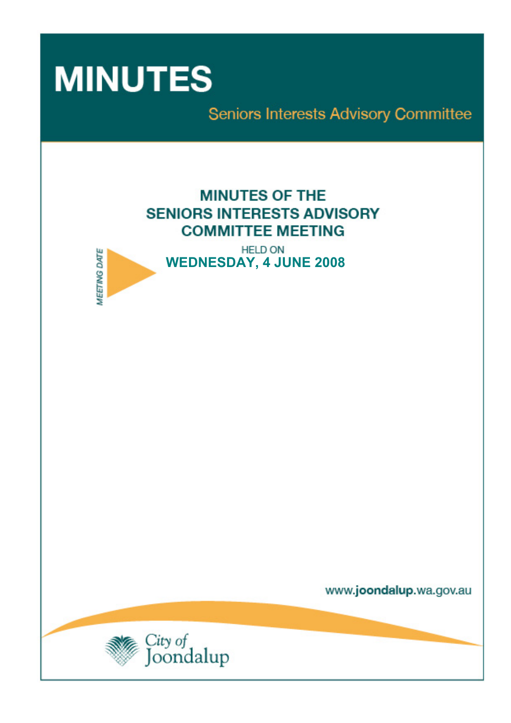

**MEETING DATE** 

Seniors Interests Advisory Committee

# **MINUTES OF THE SENIORS INTERESTS ADVISORY COMMITTEE MEETING**

**HELD ON WEDNESDAY, 4 JUNE 2008** 

www.joondalup.wa.gov.au

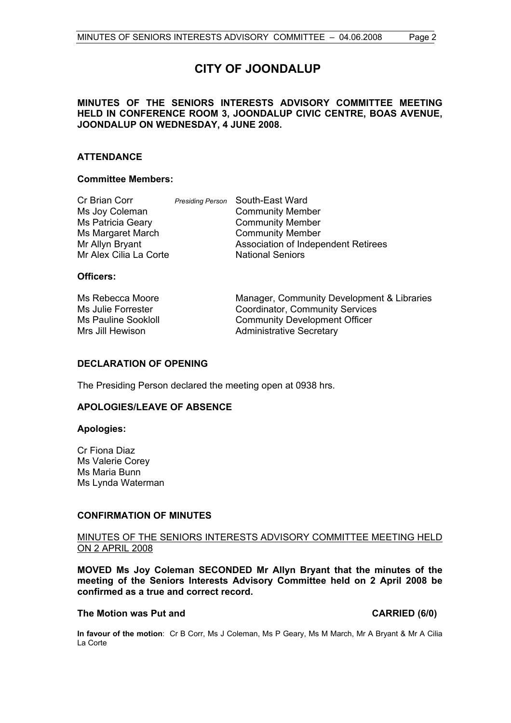# **CITY OF JOONDALUP**

# **MINUTES OF THE SENIORS INTERESTS ADVISORY COMMITTEE MEETING HELD IN CONFERENCE ROOM 3, JOONDALUP CIVIC CENTRE, BOAS AVENUE, JOONDALUP ON WEDNESDAY, 4 JUNE 2008.**

# **ATTENDANCE**

#### **Committee Members:**

| <b>Presiding Person</b> South-East Ward |
|-----------------------------------------|
| <b>Community Member</b>                 |
| <b>Community Member</b>                 |
| <b>Community Member</b>                 |
| Association of Independent Retirees     |
| <b>National Seniors</b>                 |
|                                         |

### **Officers:**

| Ms Rebecca Moore           | Manager, Community Development & Libraries |
|----------------------------|--------------------------------------------|
| Ms Julie Forrester         | <b>Coordinator, Community Services</b>     |
| <b>Ms Pauline Sookloll</b> | <b>Community Development Officer</b>       |
| Mrs Jill Hewison           | <b>Administrative Secretary</b>            |

# **DECLARATION OF OPENING**

The Presiding Person declared the meeting open at 0938 hrs.

#### **APOLOGIES/LEAVE OF ABSENCE**

#### **Apologies:**

Cr Fiona Diaz Ms Valerie Corey Ms Maria Bunn Ms Lynda Waterman

#### **CONFIRMATION OF MINUTES**

# MINUTES OF THE SENIORS INTERESTS ADVISORY COMMITTEE MEETING HELD ON 2 APRIL 2008

**MOVED Ms Joy Coleman SECONDED Mr Allyn Bryant that the minutes of the meeting of the Seniors Interests Advisory Committee held on 2 April 2008 be confirmed as a true and correct record.** 

#### The Motion was Put and **CARRIED** (6/0)

**In favour of the motion**: Cr B Corr, Ms J Coleman, Ms P Geary, Ms M March, Mr A Bryant & Mr A Cilia La Corte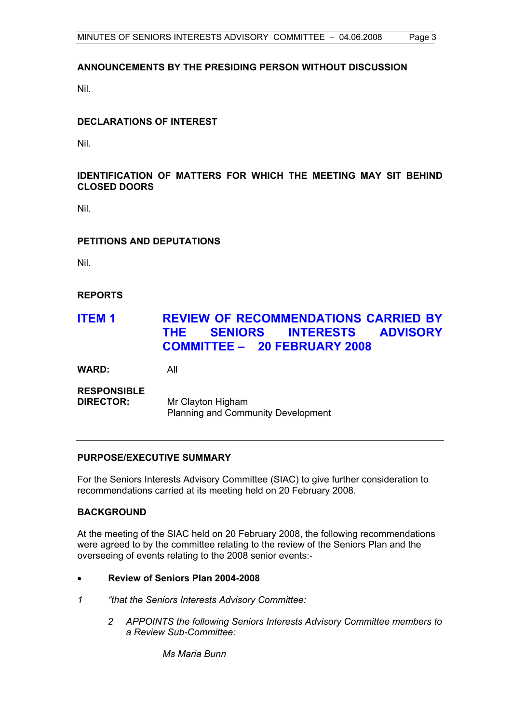# **ANNOUNCEMENTS BY THE PRESIDING PERSON WITHOUT DISCUSSION**

Nil.

# **DECLARATIONS OF INTEREST**

Nil.

# **IDENTIFICATION OF MATTERS FOR WHICH THE MEETING MAY SIT BEHIND CLOSED DOORS**

Nil.

# **PETITIONS AND DEPUTATIONS**

Nil.

# **REPORTS**

# **ITEM 1 REVIEW OF RECOMMENDATIONS CARRIED BY THE SENIORS INTERESTS ADVISORY COMMITTEE – 20 FEBRUARY 2008**

**WARD:** All

**RESPONSIBLE** 

**DIRECTOR:** Mr Clayton Higham Planning and Community Development

# **PURPOSE/EXECUTIVE SUMMARY**

For the Seniors Interests Advisory Committee (SIAC) to give further consideration to recommendations carried at its meeting held on 20 February 2008.

# **BACKGROUND**

At the meeting of the SIAC held on 20 February 2008, the following recommendations were agreed to by the committee relating to the review of the Seniors Plan and the overseeing of events relating to the 2008 senior events:-

- **Review of Seniors Plan 2004-2008**
- *1 "that the Seniors Interests Advisory Committee:* 
	- *2 APPOINTS the following Seniors Interests Advisory Committee members to a Review Sub-Committee:*

 *Ms Maria Bunn*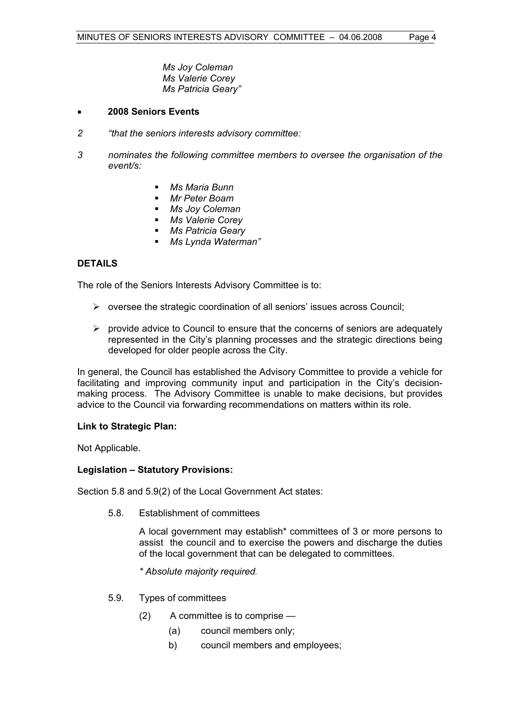*Ms Joy Coleman Ms Valerie Corey Ms Patricia Geary"* 

## • **2008 Seniors Events**

- *2 "that the seniors interests advisory committee:*
- *3 nominates the following committee members to oversee the organisation of the event/s:* 
	- *Ms Maria Bunn*
	- *Mr Peter Boam*
	- *Ms Joy Coleman*
	- *Ms Valerie Corey*
	- *Ms Patricia Geary*
	- *Ms Lynda Waterman"*

# **DETAILS**

The role of the Seniors Interests Advisory Committee is to:

- ¾ oversee the strategic coordination of all seniors' issues across Council;
- $\triangleright$  provide advice to Council to ensure that the concerns of seniors are adequately represented in the City's planning processes and the strategic directions being developed for older people across the City.

In general, the Council has established the Advisory Committee to provide a vehicle for facilitating and improving community input and participation in the City's decisionmaking process. The Advisory Committee is unable to make decisions, but provides advice to the Council via forwarding recommendations on matters within its role.

#### **Link to Strategic Plan:**

Not Applicable.

#### **Legislation – Statutory Provisions:**

Section 5.8 and 5.9(2) of the Local Government Act states:

5.8. Establishment of committees

 A local government may establish\* committees of 3 or more persons to assist the council and to exercise the powers and discharge the duties of the local government that can be delegated to committees.

 *\* Absolute majority required.* 

- 5.9. Types of committees
	- (2) A committee is to comprise
		- (a) council members only;
		- b) council members and employees;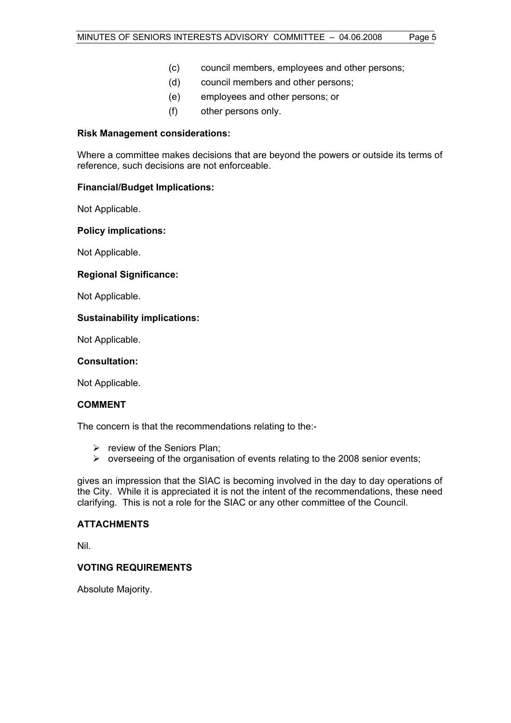- (d) council members and other persons;
- (e) employees and other persons; or
- (f) other persons only.

# **Risk Management considerations:**

Where a committee makes decisions that are beyond the powers or outside its terms of reference, such decisions are not enforceable.

# **Financial/Budget Implications:**

Not Applicable.

# **Policy implications:**

Not Applicable.

# **Regional Significance:**

Not Applicable.

# **Sustainability implications:**

Not Applicable.

#### **Consultation:**

Not Applicable.

# **COMMENT**

The concern is that the recommendations relating to the:-

- $\triangleright$  review of the Seniors Plan:
- $\triangleright$  overseeing of the organisation of events relating to the 2008 senior events;

gives an impression that the SIAC is becoming involved in the day to day operations of the City. While it is appreciated it is not the intent of the recommendations, these need clarifying. This is not a role for the SIAC or any other committee of the Council.

#### **ATTACHMENTS**

Nil.

# **VOTING REQUIREMENTS**

Absolute Majority.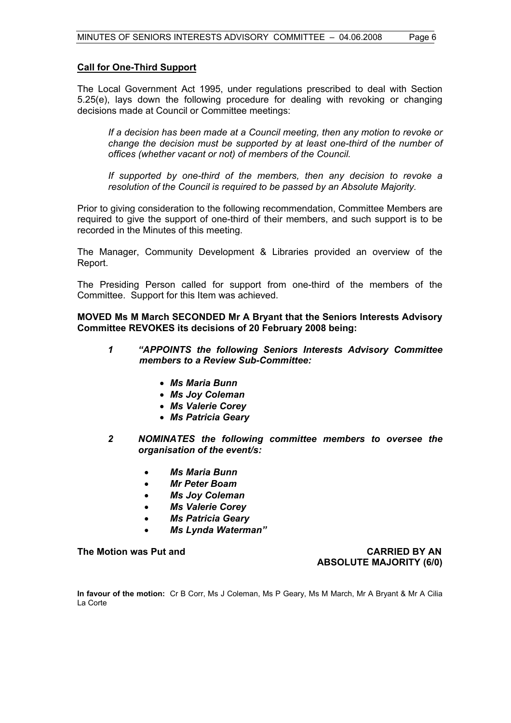### **Call for One-Third Support**

The Local Government Act 1995, under regulations prescribed to deal with Section 5.25(e), lays down the following procedure for dealing with revoking or changing decisions made at Council or Committee meetings:

*If a decision has been made at a Council meeting, then any motion to revoke or change the decision must be supported by at least one-third of the number of offices (whether vacant or not) of members of the Council.* 

 *If supported by one-third of the members, then any decision to revoke a resolution of the Council is required to be passed by an Absolute Majority.* 

Prior to giving consideration to the following recommendation, Committee Members are required to give the support of one-third of their members, and such support is to be recorded in the Minutes of this meeting.

The Manager, Community Development & Libraries provided an overview of the Report.

The Presiding Person called for support from one-third of the members of the Committee. Support for this Item was achieved.

**MOVED Ms M March SECONDED Mr A Bryant that the Seniors Interests Advisory Committee REVOKES its decisions of 20 February 2008 being:** 

- *1 "APPOINTS the following Seniors Interests Advisory Committee members to a Review Sub-Committee:* 
	- *Ms Maria Bunn*
	- *Ms Joy Coleman*
	- *Ms Valerie Corey*
	- *Ms Patricia Geary*
- *2 NOMINATES the following committee members to oversee the organisation of the event/s:* 
	- *Ms Maria Bunn*
	- *Mr Peter Boam*
	- *Ms Joy Coleman*
	- *Ms Valerie Corey*
	- *Ms Patricia Geary*
	- *Ms Lynda Waterman"*

**The Motion was Put and CARRIED BY AN ABSOLUTE MAJORITY (6/0)** 

**In favour of the motion:** Cr B Corr, Ms J Coleman, Ms P Geary, Ms M March, Mr A Bryant & Mr A Cilia La Corte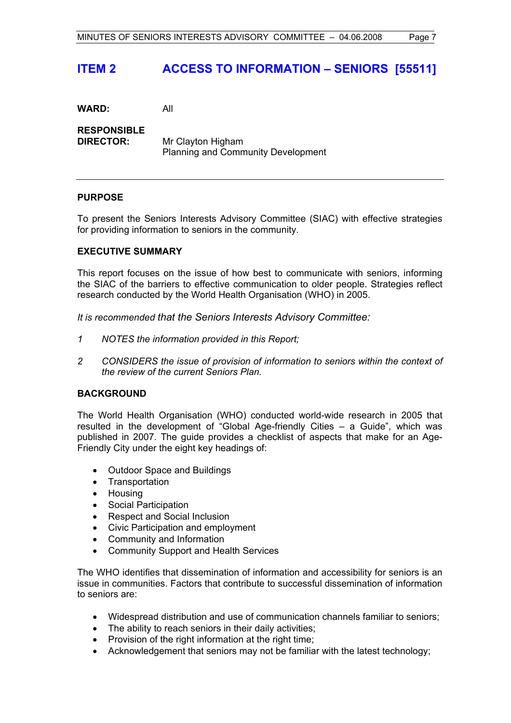# **ITEM 2 ACCESS TO INFORMATION – SENIORS [55511]**

**WARD:** All

**RESPONSIBLE DIRECTOR:** Mr Clayton Higham Planning and Community Development

# **PURPOSE**

To present the Seniors Interests Advisory Committee (SIAC) with effective strategies for providing information to seniors in the community.

# **EXECUTIVE SUMMARY**

This report focuses on the issue of how best to communicate with seniors, informing the SIAC of the barriers to effective communication to older people. Strategies reflect research conducted by the World Health Organisation (WHO) in 2005.

# *It is recommended that the Seniors Interests Advisory Committee:*

- *1 NOTES the information provided in this Report;*
- *2 CONSIDERS the issue of provision of information to seniors within the context of the review of the current Seniors Plan.*

#### **BACKGROUND**

The World Health Organisation (WHO) conducted world-wide research in 2005 that resulted in the development of "Global Age-friendly Cities – a Guide", which was published in 2007. The guide provides a checklist of aspects that make for an Age-Friendly City under the eight key headings of:

- Outdoor Space and Buildings
- Transportation
- Housing
- Social Participation
- Respect and Social Inclusion
- Civic Participation and employment
- Community and Information
- Community Support and Health Services

The WHO identifies that dissemination of information and accessibility for seniors is an issue in communities. Factors that contribute to successful dissemination of information to seniors are:

- Widespread distribution and use of communication channels familiar to seniors;
- The ability to reach seniors in their daily activities;
- Provision of the right information at the right time;
- Acknowledgement that seniors may not be familiar with the latest technology;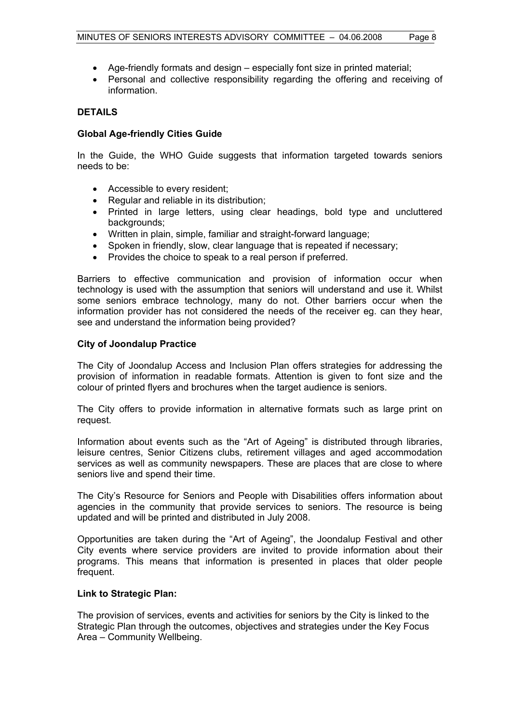- Age-friendly formats and design especially font size in printed material;
- Personal and collective responsibility regarding the offering and receiving of information.

# **DETAILS**

# **Global Age-friendly Cities Guide**

In the Guide, the WHO Guide suggests that information targeted towards seniors needs to be:

- Accessible to every resident;
- Regular and reliable in its distribution;
- Printed in large letters, using clear headings, bold type and uncluttered backgrounds;
- Written in plain, simple, familiar and straight-forward language;
- Spoken in friendly, slow, clear language that is repeated if necessary;
- Provides the choice to speak to a real person if preferred.

Barriers to effective communication and provision of information occur when technology is used with the assumption that seniors will understand and use it. Whilst some seniors embrace technology, many do not. Other barriers occur when the information provider has not considered the needs of the receiver eg. can they hear, see and understand the information being provided?

#### **City of Joondalup Practice**

The City of Joondalup Access and Inclusion Plan offers strategies for addressing the provision of information in readable formats. Attention is given to font size and the colour of printed flyers and brochures when the target audience is seniors.

The City offers to provide information in alternative formats such as large print on request.

Information about events such as the "Art of Ageing" is distributed through libraries, leisure centres, Senior Citizens clubs, retirement villages and aged accommodation services as well as community newspapers. These are places that are close to where seniors live and spend their time.

The City's Resource for Seniors and People with Disabilities offers information about agencies in the community that provide services to seniors. The resource is being updated and will be printed and distributed in July 2008.

Opportunities are taken during the "Art of Ageing", the Joondalup Festival and other City events where service providers are invited to provide information about their programs. This means that information is presented in places that older people frequent.

#### **Link to Strategic Plan:**

The provision of services, events and activities for seniors by the City is linked to the Strategic Plan through the outcomes, objectives and strategies under the Key Focus Area – Community Wellbeing.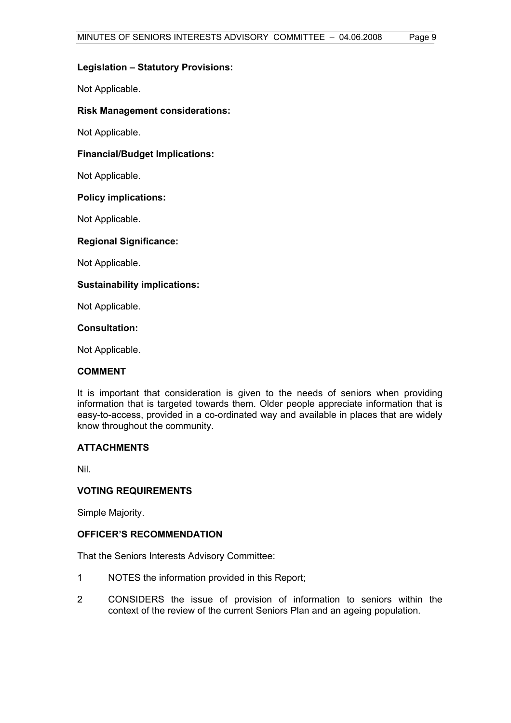### **Legislation – Statutory Provisions:**

Not Applicable.

# **Risk Management considerations:**

Not Applicable.

# **Financial/Budget Implications:**

Not Applicable.

#### **Policy implications:**

Not Applicable.

# **Regional Significance:**

Not Applicable.

# **Sustainability implications:**

Not Applicable.

**Consultation:** 

Not Applicable.

#### **COMMENT**

It is important that consideration is given to the needs of seniors when providing information that is targeted towards them. Older people appreciate information that is easy-to-access, provided in a co-ordinated way and available in places that are widely know throughout the community.

# **ATTACHMENTS**

Nil.

# **VOTING REQUIREMENTS**

Simple Majority.

# **OFFICER'S RECOMMENDATION**

That the Seniors Interests Advisory Committee:

- 1 NOTES the information provided in this Report;
- 2 CONSIDERS the issue of provision of information to seniors within the context of the review of the current Seniors Plan and an ageing population.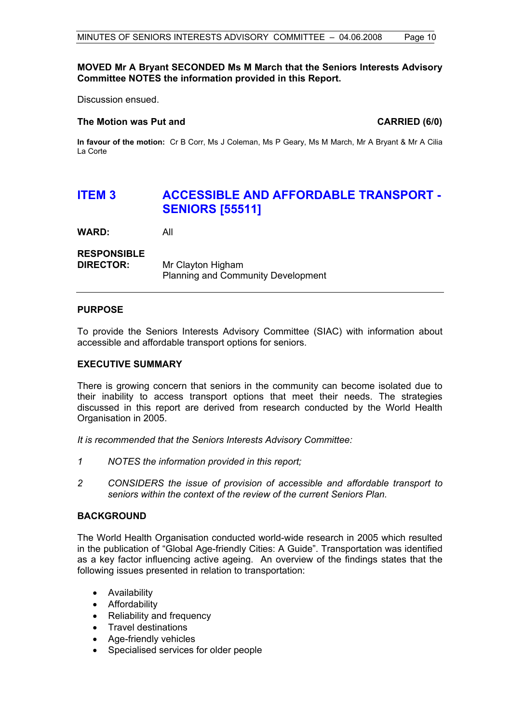## **MOVED Mr A Bryant SECONDED Ms M March that the Seniors Interests Advisory Committee NOTES the information provided in this Report.**

Discussion ensued.

#### The Motion was Put and **CARRIED** (6/0)

**In favour of the motion:** Cr B Corr, Ms J Coleman, Ms P Geary, Ms M March, Mr A Bryant & Mr A Cilia La Corte

# **ITEM 3 ACCESSIBLE AND AFFORDABLE TRANSPORT - SENIORS [55511]**

**WARD:** All

# **RESPONSIBLE**

**DIRECTOR:** Mr Clayton Higham Planning and Community Development

# **PURPOSE**

To provide the Seniors Interests Advisory Committee (SIAC) with information about accessible and affordable transport options for seniors.

## **EXECUTIVE SUMMARY**

There is growing concern that seniors in the community can become isolated due to their inability to access transport options that meet their needs. The strategies discussed in this report are derived from research conducted by the World Health Organisation in 2005.

*It is recommended that the Seniors Interests Advisory Committee:* 

- *1 NOTES the information provided in this report;*
- *2 CONSIDERS the issue of provision of accessible and affordable transport to seniors within the context of the review of the current Seniors Plan.*

#### **BACKGROUND**

The World Health Organisation conducted world-wide research in 2005 which resulted in the publication of "Global Age-friendly Cities: A Guide". Transportation was identified as a key factor influencing active ageing. An overview of the findings states that the following issues presented in relation to transportation:

- Availability
- Affordability
- Reliability and frequency
- Travel destinations
- Age-friendly vehicles
- Specialised services for older people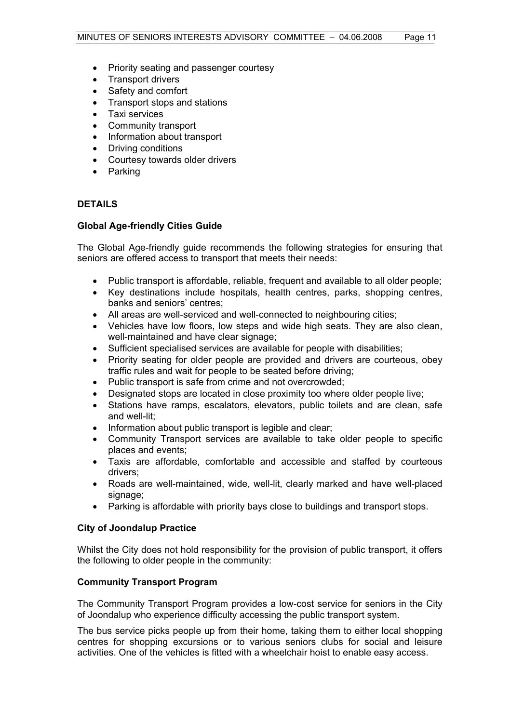- Priority seating and passenger courtesy
- Transport drivers
- Safety and comfort
- Transport stops and stations
- Taxi services
- Community transport
- Information about transport
- Driving conditions
- Courtesy towards older drivers
- Parking

# **DETAILS**

#### **Global Age-friendly Cities Guide**

The Global Age-friendly guide recommends the following strategies for ensuring that seniors are offered access to transport that meets their needs:

- Public transport is affordable, reliable, frequent and available to all older people;
- Key destinations include hospitals, health centres, parks, shopping centres, banks and seniors' centres;
- All areas are well-serviced and well-connected to neighbouring cities;
- Vehicles have low floors, low steps and wide high seats. They are also clean, well-maintained and have clear signage;
- Sufficient specialised services are available for people with disabilities;
- Priority seating for older people are provided and drivers are courteous, obey traffic rules and wait for people to be seated before driving;
- Public transport is safe from crime and not overcrowded;
- Designated stops are located in close proximity too where older people live;
- Stations have ramps, escalators, elevators, public toilets and are clean, safe and well-lit;
- Information about public transport is legible and clear;
- Community Transport services are available to take older people to specific places and events;
- Taxis are affordable, comfortable and accessible and staffed by courteous drivers;
- Roads are well-maintained, wide, well-lit, clearly marked and have well-placed signage;
- Parking is affordable with priority bays close to buildings and transport stops.

#### **City of Joondalup Practice**

Whilst the City does not hold responsibility for the provision of public transport, it offers the following to older people in the community:

# **Community Transport Program**

The Community Transport Program provides a low-cost service for seniors in the City of Joondalup who experience difficulty accessing the public transport system.

The bus service picks people up from their home, taking them to either local shopping centres for shopping excursions or to various seniors clubs for social and leisure activities. One of the vehicles is fitted with a wheelchair hoist to enable easy access.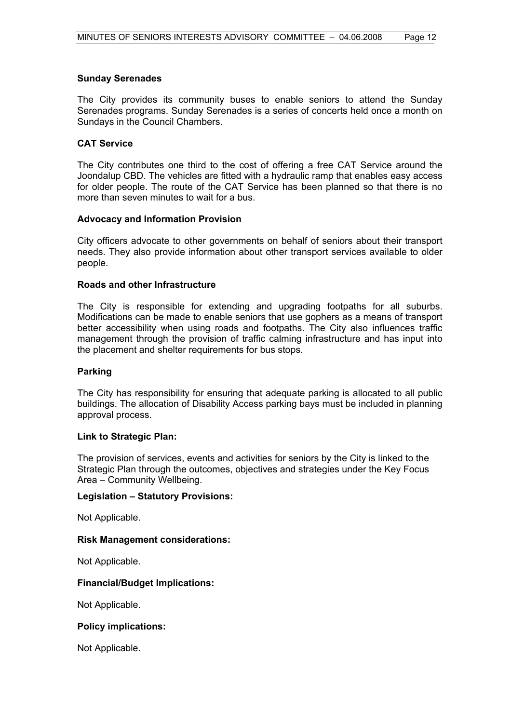# **Sunday Serenades**

The City provides its community buses to enable seniors to attend the Sunday Serenades programs. Sunday Serenades is a series of concerts held once a month on Sundays in the Council Chambers.

## **CAT Service**

The City contributes one third to the cost of offering a free CAT Service around the Joondalup CBD. The vehicles are fitted with a hydraulic ramp that enables easy access for older people. The route of the CAT Service has been planned so that there is no more than seven minutes to wait for a bus.

#### **Advocacy and Information Provision**

City officers advocate to other governments on behalf of seniors about their transport needs. They also provide information about other transport services available to older people.

# **Roads and other Infrastructure**

The City is responsible for extending and upgrading footpaths for all suburbs. Modifications can be made to enable seniors that use gophers as a means of transport better accessibility when using roads and footpaths. The City also influences traffic management through the provision of traffic calming infrastructure and has input into the placement and shelter requirements for bus stops.

#### **Parking**

The City has responsibility for ensuring that adequate parking is allocated to all public buildings. The allocation of Disability Access parking bays must be included in planning approval process.

#### **Link to Strategic Plan:**

The provision of services, events and activities for seniors by the City is linked to the Strategic Plan through the outcomes, objectives and strategies under the Key Focus Area – Community Wellbeing.

#### **Legislation – Statutory Provisions:**

Not Applicable.

#### **Risk Management considerations:**

Not Applicable.

#### **Financial/Budget Implications:**

Not Applicable.

# **Policy implications:**

Not Applicable.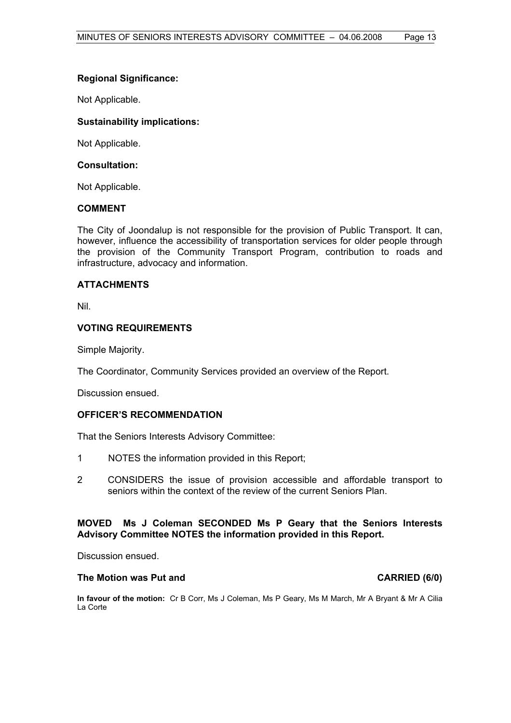# **Regional Significance:**

Not Applicable.

# **Sustainability implications:**

Not Applicable.

# **Consultation:**

Not Applicable.

# **COMMENT**

The City of Joondalup is not responsible for the provision of Public Transport. It can, however, influence the accessibility of transportation services for older people through the provision of the Community Transport Program, contribution to roads and infrastructure, advocacy and information.

# **ATTACHMENTS**

Nil.

# **VOTING REQUIREMENTS**

Simple Majority.

The Coordinator, Community Services provided an overview of the Report.

Discussion ensued.

#### **OFFICER'S RECOMMENDATION**

That the Seniors Interests Advisory Committee:

- 1 NOTES the information provided in this Report;
- 2 CONSIDERS the issue of provision accessible and affordable transport to seniors within the context of the review of the current Seniors Plan.

# **MOVED Ms J Coleman SECONDED Ms P Geary that the Seniors Interests Advisory Committee NOTES the information provided in this Report.**

Discussion ensued.

# The Motion was Put and **CARRIED** (6/0)

**In favour of the motion:** Cr B Corr, Ms J Coleman, Ms P Geary, Ms M March, Mr A Bryant & Mr A Cilia La Corte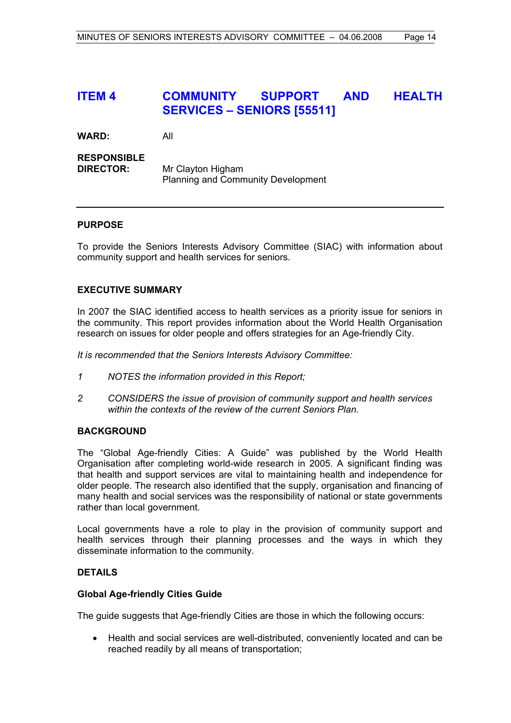# **ITEM 4 COMMUNITY SUPPORT AND HEALTH SERVICES – SENIORS [55511]**

**WARD:** All

# **RESPONSIBLE**

**DIRECTOR:** Mr Clayton Higham Planning and Community Development

# **PURPOSE**

To provide the Seniors Interests Advisory Committee (SIAC) with information about community support and health services for seniors.

# **EXECUTIVE SUMMARY**

In 2007 the SIAC identified access to health services as a priority issue for seniors in the community. This report provides information about the World Health Organisation research on issues for older people and offers strategies for an Age-friendly City.

*It is recommended that the Seniors Interests Advisory Committee:*

- *1 NOTES the information provided in this Report;*
- *2 CONSIDERS the issue of provision of community support and health services within the contexts of the review of the current Seniors Plan.*

## **BACKGROUND**

The "Global Age-friendly Cities: A Guide" was published by the World Health Organisation after completing world-wide research in 2005. A significant finding was that health and support services are vital to maintaining health and independence for older people. The research also identified that the supply, organisation and financing of many health and social services was the responsibility of national or state governments rather than local government.

Local governments have a role to play in the provision of community support and health services through their planning processes and the ways in which they disseminate information to the community.

### **DETAILS**

#### **Global Age-friendly Cities Guide**

The guide suggests that Age-friendly Cities are those in which the following occurs:

• Health and social services are well-distributed, conveniently located and can be reached readily by all means of transportation;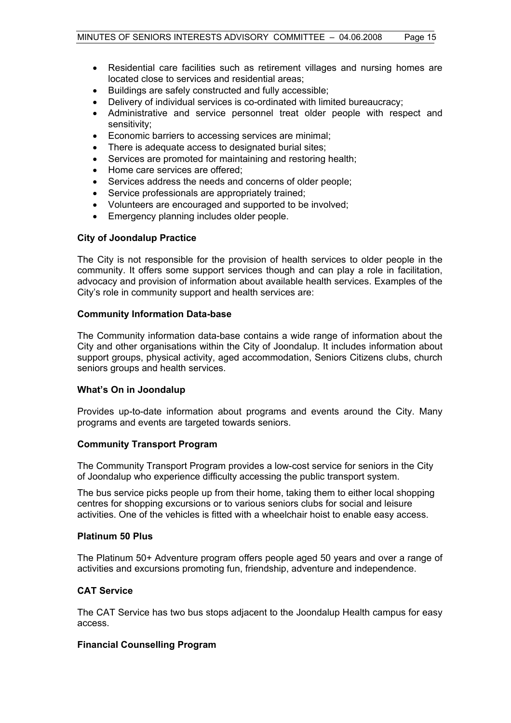- Residential care facilities such as retirement villages and nursing homes are located close to services and residential areas;
- Buildings are safely constructed and fully accessible;
- Delivery of individual services is co-ordinated with limited bureaucracy;
- Administrative and service personnel treat older people with respect and sensitivity;
- Economic barriers to accessing services are minimal;
- There is adequate access to designated burial sites;
- Services are promoted for maintaining and restoring health;
- Home care services are offered;
- Services address the needs and concerns of older people;
- Service professionals are appropriately trained;
- Volunteers are encouraged and supported to be involved;
- Emergency planning includes older people.

#### **City of Joondalup Practice**

The City is not responsible for the provision of health services to older people in the community. It offers some support services though and can play a role in facilitation, advocacy and provision of information about available health services. Examples of the City's role in community support and health services are:

#### **Community Information Data-base**

The Community information data-base contains a wide range of information about the City and other organisations within the City of Joondalup. It includes information about support groups, physical activity, aged accommodation, Seniors Citizens clubs, church seniors groups and health services.

## **What's On in Joondalup**

Provides up-to-date information about programs and events around the City. Many programs and events are targeted towards seniors.

#### **Community Transport Program**

The Community Transport Program provides a low-cost service for seniors in the City of Joondalup who experience difficulty accessing the public transport system.

The bus service picks people up from their home, taking them to either local shopping centres for shopping excursions or to various seniors clubs for social and leisure activities. One of the vehicles is fitted with a wheelchair hoist to enable easy access.

#### **Platinum 50 Plus**

The Platinum 50+ Adventure program offers people aged 50 years and over a range of activities and excursions promoting fun, friendship, adventure and independence.

#### **CAT Service**

The CAT Service has two bus stops adjacent to the Joondalup Health campus for easy access.

### **Financial Counselling Program**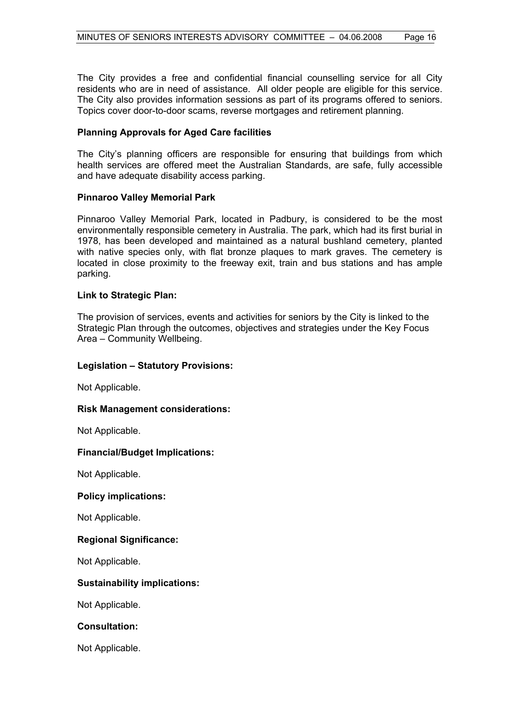The City provides a free and confidential financial counselling service for all City residents who are in need of assistance. All older people are eligible for this service. The City also provides information sessions as part of its programs offered to seniors. Topics cover door-to-door scams, reverse mortgages and retirement planning.

# **Planning Approvals for Aged Care facilities**

The City's planning officers are responsible for ensuring that buildings from which health services are offered meet the Australian Standards, are safe, fully accessible and have adequate disability access parking.

# **Pinnaroo Valley Memorial Park**

Pinnaroo Valley Memorial Park, located in Padbury, is considered to be the most environmentally responsible cemetery in Australia. The park, which had its first burial in 1978, has been developed and maintained as a natural bushland cemetery, planted with native species only, with flat bronze plaques to mark graves. The cemetery is located in close proximity to the freeway exit, train and bus stations and has ample parking.

# **Link to Strategic Plan:**

The provision of services, events and activities for seniors by the City is linked to the Strategic Plan through the outcomes, objectives and strategies under the Key Focus Area – Community Wellbeing.

## **Legislation – Statutory Provisions:**

Not Applicable.

#### **Risk Management considerations:**

Not Applicable.

#### **Financial/Budget Implications:**

Not Applicable.

#### **Policy implications:**

Not Applicable.

#### **Regional Significance:**

Not Applicable.

# **Sustainability implications:**

Not Applicable.

# **Consultation:**

Not Applicable.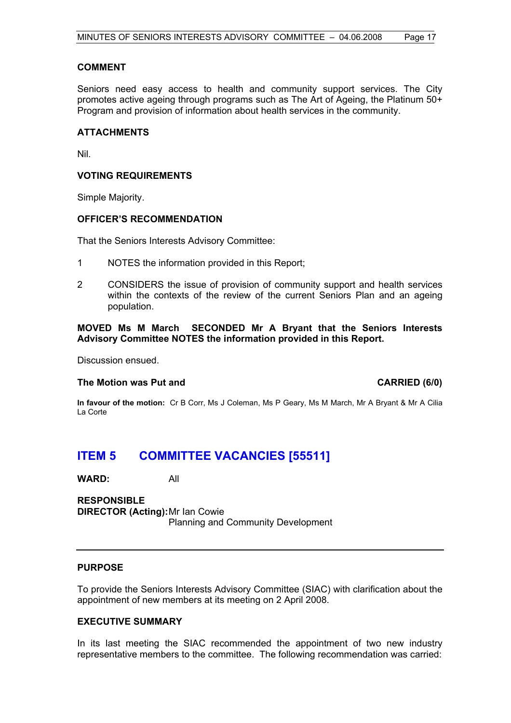# **COMMENT**

Seniors need easy access to health and community support services. The City promotes active ageing through programs such as The Art of Ageing, the Platinum 50+ Program and provision of information about health services in the community.

#### **ATTACHMENTS**

Nil.

# **VOTING REQUIREMENTS**

Simple Majority.

#### **OFFICER'S RECOMMENDATION**

That the Seniors Interests Advisory Committee:

- 1 NOTES the information provided in this Report;
- 2 CONSIDERS the issue of provision of community support and health services within the contexts of the review of the current Seniors Plan and an ageing population.

**MOVED Ms M March SECONDED Mr A Bryant that the Seniors Interests Advisory Committee NOTES the information provided in this Report.**

Discussion ensued.

#### The Motion was Put and **CARRIED** (6/0)

**In favour of the motion:** Cr B Corr, Ms J Coleman, Ms P Geary, Ms M March, Mr A Bryant & Mr A Cilia La Corte

# **ITEM 5 COMMITTEE VACANCIES [55511]**

**WARD:** All

**RESPONSIBLE DIRECTOR (Acting):** Mr Ian Cowie Planning and Community Development

#### **PURPOSE**

To provide the Seniors Interests Advisory Committee (SIAC) with clarification about the appointment of new members at its meeting on 2 April 2008.

#### **EXECUTIVE SUMMARY**

In its last meeting the SIAC recommended the appointment of two new industry representative members to the committee. The following recommendation was carried: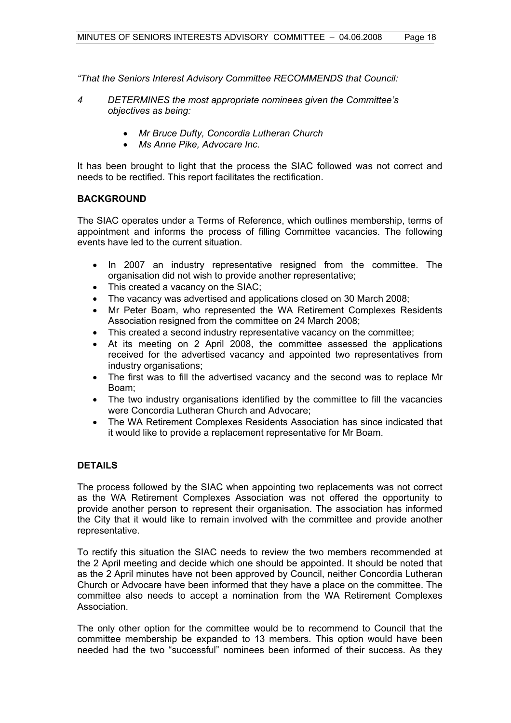*"That the Seniors Interest Advisory Committee RECOMMENDS that Council:* 

- *4 DETERMINES the most appropriate nominees given the Committee's objectives as being:* 
	- *Mr Bruce Dufty, Concordia Lutheran Church*
	- *Ms Anne Pike, Advocare Inc.*

It has been brought to light that the process the SIAC followed was not correct and needs to be rectified. This report facilitates the rectification.

# **BACKGROUND**

The SIAC operates under a Terms of Reference, which outlines membership, terms of appointment and informs the process of filling Committee vacancies. The following events have led to the current situation.

- In 2007 an industry representative resigned from the committee. The organisation did not wish to provide another representative;
- This created a vacancy on the SIAC;
- The vacancy was advertised and applications closed on 30 March 2008;
- Mr Peter Boam, who represented the WA Retirement Complexes Residents Association resigned from the committee on 24 March 2008;
- This created a second industry representative vacancy on the committee;
- At its meeting on 2 April 2008, the committee assessed the applications received for the advertised vacancy and appointed two representatives from industry organisations;
- The first was to fill the advertised vacancy and the second was to replace Mr Boam;
- The two industry organisations identified by the committee to fill the vacancies were Concordia Lutheran Church and Advocare;
- The WA Retirement Complexes Residents Association has since indicated that it would like to provide a replacement representative for Mr Boam.

# **DETAILS**

The process followed by the SIAC when appointing two replacements was not correct as the WA Retirement Complexes Association was not offered the opportunity to provide another person to represent their organisation. The association has informed the City that it would like to remain involved with the committee and provide another representative.

To rectify this situation the SIAC needs to review the two members recommended at the 2 April meeting and decide which one should be appointed. It should be noted that as the 2 April minutes have not been approved by Council, neither Concordia Lutheran Church or Advocare have been informed that they have a place on the committee. The committee also needs to accept a nomination from the WA Retirement Complexes Association.

The only other option for the committee would be to recommend to Council that the committee membership be expanded to 13 members. This option would have been needed had the two "successful" nominees been informed of their success. As they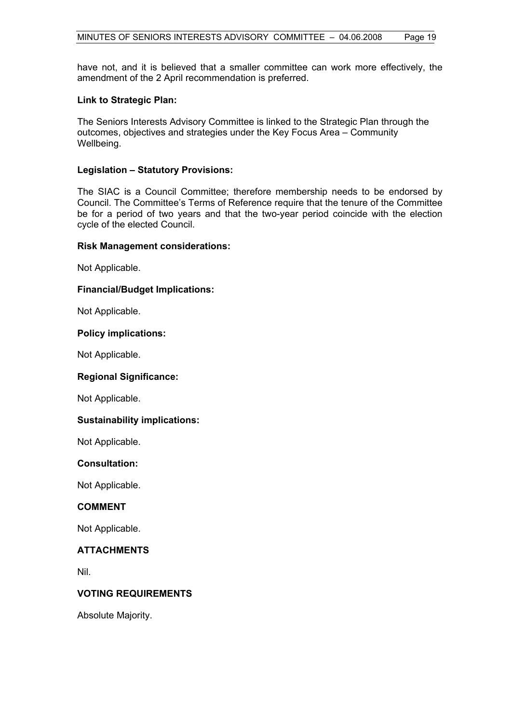have not, and it is believed that a smaller committee can work more effectively, the amendment of the 2 April recommendation is preferred.

#### **Link to Strategic Plan:**

The Seniors Interests Advisory Committee is linked to the Strategic Plan through the outcomes, objectives and strategies under the Key Focus Area – Community Wellbeing.

#### **Legislation – Statutory Provisions:**

The SIAC is a Council Committee; therefore membership needs to be endorsed by Council. The Committee's Terms of Reference require that the tenure of the Committee be for a period of two years and that the two-year period coincide with the election cycle of the elected Council.

#### **Risk Management considerations:**

Not Applicable.

#### **Financial/Budget Implications:**

Not Applicable.

# **Policy implications:**

Not Applicable.

#### **Regional Significance:**

Not Applicable.

# **Sustainability implications:**

Not Applicable.

#### **Consultation:**

Not Applicable.

### **COMMENT**

Not Applicable.

# **ATTACHMENTS**

Nil.

#### **VOTING REQUIREMENTS**

Absolute Majority.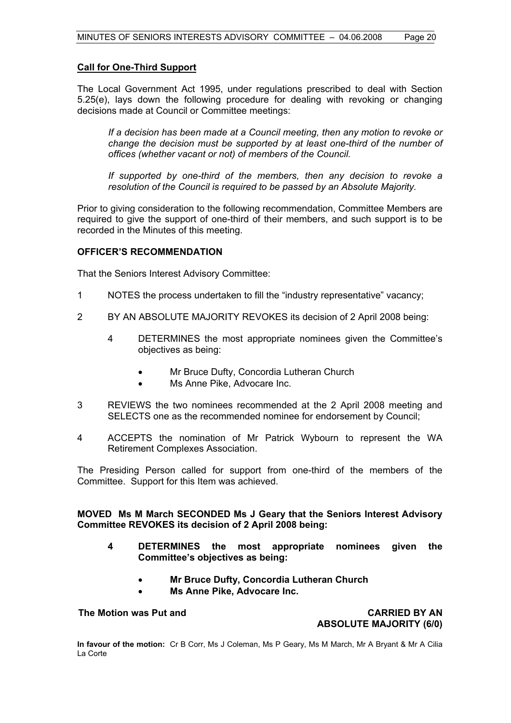## **Call for One-Third Support**

The Local Government Act 1995, under regulations prescribed to deal with Section 5.25(e), lays down the following procedure for dealing with revoking or changing decisions made at Council or Committee meetings:

*If a decision has been made at a Council meeting, then any motion to revoke or change the decision must be supported by at least one-third of the number of offices (whether vacant or not) of members of the Council.* 

 *If supported by one-third of the members, then any decision to revoke a resolution of the Council is required to be passed by an Absolute Majority.* 

Prior to giving consideration to the following recommendation, Committee Members are required to give the support of one-third of their members, and such support is to be recorded in the Minutes of this meeting.

# **OFFICER'S RECOMMENDATION**

That the Seniors Interest Advisory Committee:

- 1 NOTES the process undertaken to fill the "industry representative" vacancy;
- 2 BY AN ABSOLUTE MAJORITY REVOKES its decision of 2 April 2008 being:
	- 4 DETERMINES the most appropriate nominees given the Committee's objectives as being:
		- Mr Bruce Dufty, Concordia Lutheran Church
		- Ms Anne Pike, Advocare Inc.
- 3 REVIEWS the two nominees recommended at the 2 April 2008 meeting and SELECTS one as the recommended nominee for endorsement by Council;
- 4 ACCEPTS the nomination of Mr Patrick Wybourn to represent the WA Retirement Complexes Association.

The Presiding Person called for support from one-third of the members of the Committee. Support for this Item was achieved.

**MOVED Ms M March SECONDED Ms J Geary that the Seniors Interest Advisory Committee REVOKES its decision of 2 April 2008 being:** 

- **4 DETERMINES the most appropriate nominees given the Committee's objectives as being:** 
	- **Mr Bruce Dufty, Concordia Lutheran Church**
	- **Ms Anne Pike, Advocare Inc.**

**The Motion was Put and CARRIED BY AN ABSOLUTE MAJORITY (6/0)** 

**In favour of the motion:** Cr B Corr, Ms J Coleman, Ms P Geary, Ms M March, Mr A Bryant & Mr A Cilia La Corte